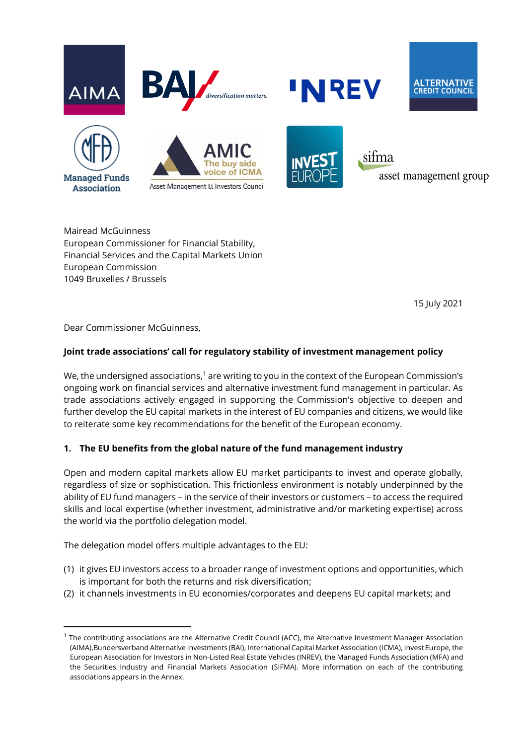



NREV

sifma asset management group

**ALTERNATIVE** 

Mairead McGuinness European Commissioner for Financial Stability, Financial Services and the Capital Markets Union European Commission 1049 Bruxelles / Brussels

15 July 2021

Dear Commissioner McGuinness,

**Managed Funds** 

Association

# **Joint trade associations' call for regulatory stability of investment management policy**

We, the undersigned associations, ${}^1$  are writing to you in the context of the European Commission's ongoing work on financial services and alternative investment fund management in particular. As trade associations actively engaged in supporting the Commission's objective to deepen and further develop the EU capital markets in the interest of EU companies and citizens, we would like to reiterate some key recommendations for the benefit of the European economy.

### **1. The EU benefits from the global nature of the fund management industry**

ne buy side voice of ICMA

Asset Management & Investors Council

Open and modern capital markets allow EU market participants to invest and operate globally, regardless of size or sophistication. This frictionless environment is notably underpinned by the ability of EU fund managers – in the service of their investors or customers – to access the required skills and local expertise (whether investment, administrative and/or marketing expertise) across the world via the portfolio delegation model.

The delegation model offers multiple advantages to the EU:

- (1) it gives EU investors access to a broader range of investment options and opportunities, which is important for both the returns and risk diversification;
- (2) it channels investments in EU economies/corporates and deepens EU capital markets; and

<sup>1</sup> The contributing associations are the Alternative Credit Council (ACC), the Alternative Investment Manager Association (AIMA),Bundersverband Alternative Investments (BAI), International Capital Market Association (ICMA), Invest Europe, the European Association for Investors in Non-Listed Real Estate Vehicles (INREV), the Managed Funds Association (MFA) and the Securities Industry and Financial Markets Association (SIFMA). More information on each of the contributing associations appears in the Annex.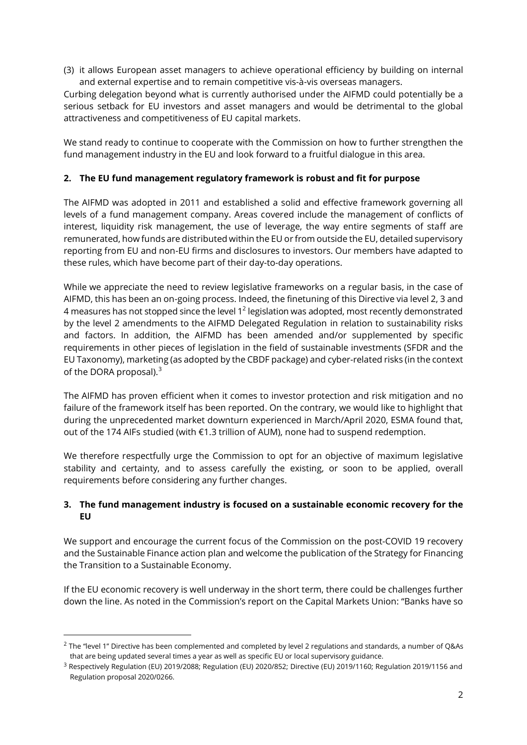(3) it allows European asset managers to achieve operational efficiency by building on internal and external expertise and to remain competitive vis-à-vis overseas managers.

Curbing delegation beyond what is currently authorised under the AIFMD could potentially be a serious setback for EU investors and asset managers and would be detrimental to the global attractiveness and competitiveness of EU capital markets.

We stand ready to continue to cooperate with the Commission on how to further strengthen the fund management industry in the EU and look forward to a fruitful dialogue in this area.

## **2. The EU fund management regulatory framework is robust and fit for purpose**

The AIFMD was adopted in 2011 and established a solid and effective framework governing all levels of a fund management company. Areas covered include the management of conflicts of interest, liquidity risk management, the use of leverage, the way entire segments of staff are remunerated, how fundsare distributed within the EU or from outside the EU, detailed supervisory reporting from EU and non-EU firms and disclosures to investors. Our members have adapted to these rules, which have become part of their day-to-day operations.

While we appreciate the need to review legislative frameworks on a regular basis, in the case of AIFMD, this has been an on-going process. Indeed, the finetuning of this Directive via level 2, 3 and 4 measures has not stopped since the level  $1<sup>2</sup>$  legislation was adopted, most recently demonstrated by the level 2 amendments to the AIFMD Delegated Regulation in relation to sustainability risks and factors. In addition, the AIFMD has been amended and/or supplemented by specific requirements in other pieces of legislation in the field of sustainable investments (SFDR and the EU Taxonomy), marketing (as adopted by the CBDF package) and cyber-related risks (in the context of the DORA proposal).<sup>3</sup>

The AIFMD has proven efficient when it comes to investor protection and risk mitigation and no failure of the framework itself has been reported. On the contrary, we would like to highlight that during the unprecedented market downturn experienced in March/April 2020, ESMA found that, out of the 174 AIFs studied (with €1.3 trillion of AUM), none had to suspend redemption.

We therefore respectfully urge the Commission to opt for an objective of maximum legislative stability and certainty, and to assess carefully the existing, or soon to be applied, overall requirements before considering any further changes.

# **3. The fund management industry is focused on a sustainable economic recovery for the EU**

We support and encourage the current focus of the Commission on the post-COVID 19 recovery and the Sustainable Finance action plan and welcome the publication of the Strategy for Financing the Transition to a Sustainable Economy.

If the EU economic recovery is well underway in the short term, there could be challenges further down the line. As noted in the Commission's report on the Capital Markets Union: "Banks have so

 $2$  The "level 1" Directive has been complemented and completed by level 2 regulations and standards, a number of Q&As that are being updated several times a year as well as specific EU or local supervisory guidance.

<sup>3</sup> Respectively Regulation (EU) 2019/2088; Regulation (EU) 2020/852; Directive (EU) 2019/1160; Regulation 2019/1156 and Regulation proposal 2020/0266.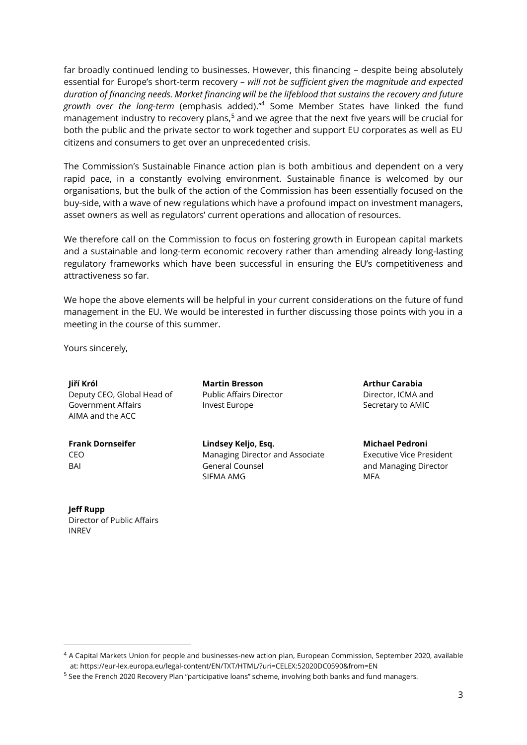far broadly continued lending to businesses. However, this financing – despite being absolutely essential for Europe's short-term recovery – *will not be sufficient given the magnitude and expected duration of financing needs. Market financing will be the lifeblood that sustains the recovery and future growth over the long-term* (emphasis added)." <sup>4</sup> Some Member States have linked the fund management industry to recovery plans,<sup>5</sup> and we agree that the next five years will be crucial for both the public and the private sector to work together and support EU corporates as well as EU citizens and consumers to get over an unprecedented crisis.

The Commission's Sustainable Finance action plan is both ambitious and dependent on a very rapid pace, in a constantly evolving environment. Sustainable finance is welcomed by our organisations, but the bulk of the action of the Commission has been essentially focused on the buy-side, with a wave of new regulations which have a profound impact on investment managers, asset owners as well as regulators' current operations and allocation of resources.

We therefore call on the Commission to focus on fostering growth in European capital markets and a sustainable and long-term economic recovery rather than amending already long-lasting regulatory frameworks which have been successful in ensuring the EU's competitiveness and attractiveness so far.

We hope the above elements will be helpful in your current considerations on the future of fund management in the EU. We would be interested in further discussing those points with you in a meeting in the course of this summer.

Yours sincerely,

**Jiří Król**  Deputy CEO, Global Head of Government Affairs

**Martin Bresson** Public Affairs Director Invest Europe

**Arthur Carabia** Director, ICMA and Secretary to AMIC

**Frank Dornseifer** CEO BAI

AIMA and the ACC

**Lindsey Keljo, Esq.** Managing Director and Associate General Counsel SIFMA AMG

**Michael Pedroni** Executive Vice President and Managing Director MFA

**Jeff Rupp** Director of Public Affairs INREV

<sup>4</sup> A Capital Markets Union for people and businesses-new action plan, European Commission, September 2020, available at: <https://eur-lex.europa.eu/legal-content/EN/TXT/HTML/?uri=CELEX:52020DC0590&from=EN>

<sup>5</sup> See the French 2020 Recovery Plan "participative loans" scheme, involving both banks and fund managers.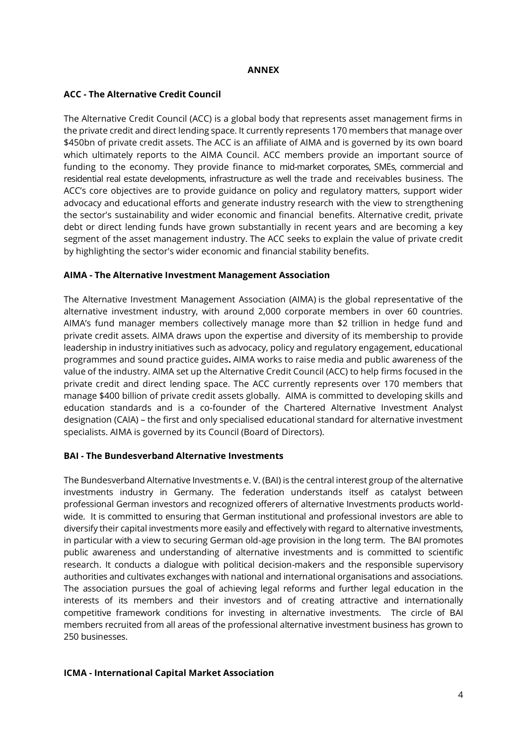#### **ANNEX**

### **ACC - The Alternative Credit Council**

The Alternative Credit Council (ACC) is a global body that represents asset management firms in the private credit and direct lending space. It currently represents 170 members that manage over \$450bn of private credit assets. The ACC is an affiliate of AIMA and is governed by its own board which ultimately reports to the AIMA Council. ACC members provide an important source of funding to the economy. They provide finance to mid-market corporates, SMEs, commercial and residential real estate developments, infrastructure as well the trade and receivables business. The ACC's core objectives are to provide guidance on policy and regulatory matters, support wider advocacy and educational efforts and generate industry research with the view to strengthening the sector's sustainability and wider economic and financial benefits. Alternative credit, private debt or direct lending funds have grown substantially in recent years and are becoming a key segment of the asset management industry. The ACC seeks to explain the value of private credit by highlighting the sector's wider economic and financial stability benefits.

#### **AIMA - The Alternative Investment Management Association**

The Alternative Investment Management Association (AIMA) is the global representative of the alternative investment industry, with around 2,000 corporate members in over 60 countries. AIMA's fund manager members collectively manage more than \$2 trillion in hedge fund and private credit assets. AIMA draws upon the expertise and diversity of its membership to provide leadership in industry initiatives such as advocacy, policy and regulatory engagement, educational programmes and sound practice guides**.** AIMA works to raise media and public awareness of the value of the industry. AIMA set up the Alternative Credit Council (ACC) to help firms focused in the private credit and direct lending space. The ACC currently represents over 170 members that manage \$400 billion of private credit assets globally. AIMA is committed to developing skills and education standards and is a co-founder of the Chartered Alternative Investment Analyst designation (CAIA) – the first and only specialised educational standard for alternative investment specialists. AIMA is governed by its Council (Board of Directors).

### **BAI - The Bundesverband Alternative Investments**

The Bundesverband Alternative Investments e. V. (BAI) is the central interest group of the alternative investments industry in Germany. The federation understands itself as catalyst between professional German investors and recognized offerers of alternative Investments products worldwide. It is committed to ensuring that German institutional and professional investors are able to diversify their capital investments more easily and effectively with regard to alternative investments, in particular with a view to securing German old-age provision in the long term. The BAI promotes public awareness and understanding of alternative investments and is committed to scientific research. It conducts a dialogue with political decision-makers and the responsible supervisory authorities and cultivates exchanges with national and international organisations and associations. The association pursues the goal of achieving legal reforms and further legal education in the interests of its members and their investors and of creating attractive and internationally competitive framework conditions for investing in alternative investments. The circle of BAI members recruited from all areas of the professional alternative investment business has grown to 250 businesses.

#### **ICMA - International Capital Market Association**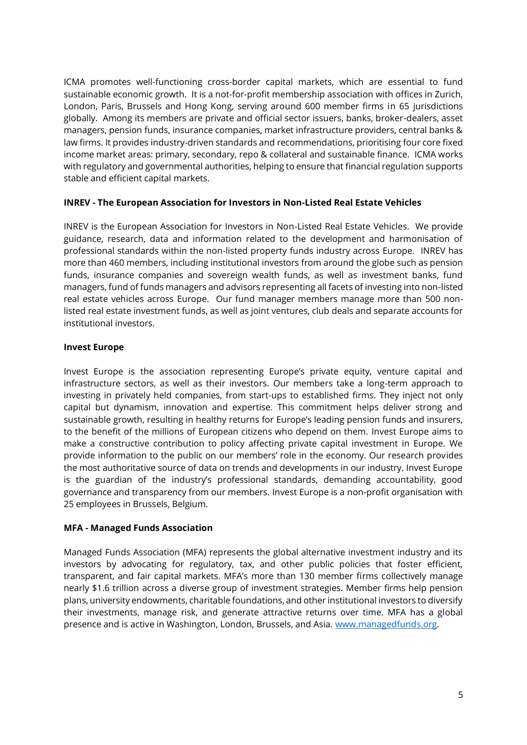ICMA promotes well-functioning cross-border capital markets, which are essential to fund sustainable economic growth. It is a not-for-profit membership association with offices in Zurich, London, Paris, Brussels and Hong Kong, serving around 600 member firms in 65 jurisdictions globally. Among its members are private and official sector issuers, banks, broker-dealers, asset managers, pension funds, insurance companies, market infrastructure providers, central banks & law firms. It provides industry-driven standards and recommendations, prioritising four core fixed income market areas: primary, secondary, repo & collateral and sustainable finance. ICMA works with regulatory and governmental authorities, helping to ensure that financial regulation supports stable and efficient capital markets.

### **INREV - The European Association for Investors in Non-Listed Real Estate Vehicles**

INREV is the European Association for Investors in Non-Listed Real Estate Vehicles. We provide guidance, research, data and information related to the development and harmonisation of professional standards within the non-listed property funds industry across Europe. INREV has more than 460 members, including institutional investors from around the globe such as pension funds, insurance companies and sovereign wealth funds, as well as investment banks, fund managers, fund of funds managers and advisors representing all facets of investing into non-listed real estate vehicles across Europe. Our fund manager members manage more than 500 nonlisted real estate investment funds, as well as joint ventures, club deals and separate accounts for institutional investors.

### **Invest Europe**

Invest Europe is the association representing Europe's private equity, venture capital and infrastructure sectors, as well as their investors. Our members take a long-term approach to investing in privately held companies, from start-ups to established firms. They inject not only capital but dynamism, innovation and expertise. This commitment helps deliver strong and sustainable growth, resulting in healthy returns for Europe's leading pension funds and insurers, to the benefit of the millions of European citizens who depend on them. Invest Europe aims to make a constructive contribution to policy affecting private capital investment in Europe. We provide information to the public on our members' role in the economy. Our research provides the most authoritative source of data on trends and developments in our industry. Invest Europe is the guardian of the industry's professional standards, demanding accountability, good governance and transparency from our members. Invest Europe is a non-profit organisation with 25 employees in Brussels, Belgium.

# **MFA - Managed Funds Association**

Managed Funds Association (MFA) represents the global alternative investment industry and its investors by advocating for regulatory, tax, and other public policies that foster efficient, transparent, and fair capital markets. MFA's more than 130 member firms collectively manage nearly \$1.6 trillion across a diverse group of investment strategies. Member firms help pension plans, university endowments, charitable foundations, and other institutional investors to diversify their investments, manage risk, and generate attractive returns over time. MFA has a global presence and is active in Washington, London, Brussels, and Asia. [www.managedfunds.org.](http://www.managedfunds.org/)